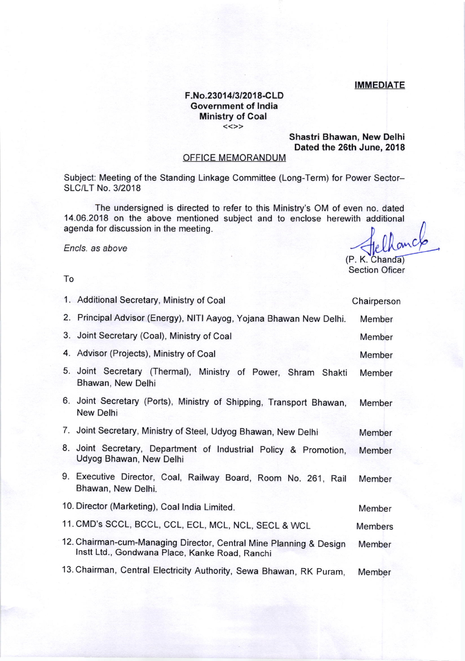## IMMEDIATE

## F.No.23014/3/2018-CLD Government of lndia Ministry of Coal

## Shastri Bhawan, New Delhi Dated the 26th June, 2018

## OFFICE MEMORANDUM

Subject: Meeting of the Standing Linkage Committee (Long-Term) for Power Sector-SLC/LT No.3/2018

The undersigned is directed to refer to this Ministry's OM of even no. dated 14.06.2018 on the above mentioned subject and to enclose herewith additional agenda for discussion in the meeting.

Encls. as above

(P. K. Chanda)<br>Section Oficer

| 1. Additional Secretary, Ministry of Coal                                                                            | Chairperson    |
|----------------------------------------------------------------------------------------------------------------------|----------------|
| 2. Principal Advisor (Energy), NITI Aayog, Yojana Bhawan New Delhi.                                                  | Member         |
| 3. Joint Secretary (Coal), Ministry of Coal                                                                          | Member         |
| 4. Advisor (Projects), Ministry of Coal                                                                              | Member         |
| 5. Joint Secretary (Thermal), Ministry of Power, Shram Shakti<br>Bhawan, New Delhi                                   | Member         |
| 6. Joint Secretary (Ports), Ministry of Shipping, Transport Bhawan,<br>New Delhi                                     | Member         |
| 7. Joint Secretary, Ministry of Steel, Udyog Bhawan, New Delhi                                                       | Member         |
| 8. Joint Secretary, Department of Industrial Policy & Promotion,<br>Udyog Bhawan, New Delhi                          | Member         |
| 9. Executive Director, Coal, Railway Board, Room No. 261, Rail<br>Bhawan, New Delhi.                                 | Member         |
| 10. Director (Marketing), Coal India Limited.                                                                        | Member         |
| 11. CMD's SCCL, BCCL, CCL, ECL, MCL, NCL, SECL & WCL                                                                 | <b>Members</b> |
| 12. Chairman-cum-Managing Director, Central Mine Planning & Design<br>Instt Ltd., Gondwana Place, Kanke Road, Ranchi | Member         |
|                                                                                                                      |                |

Member 13. Chairman, Central Electricity Authority, Sewa Bhawan, RK puram,

To